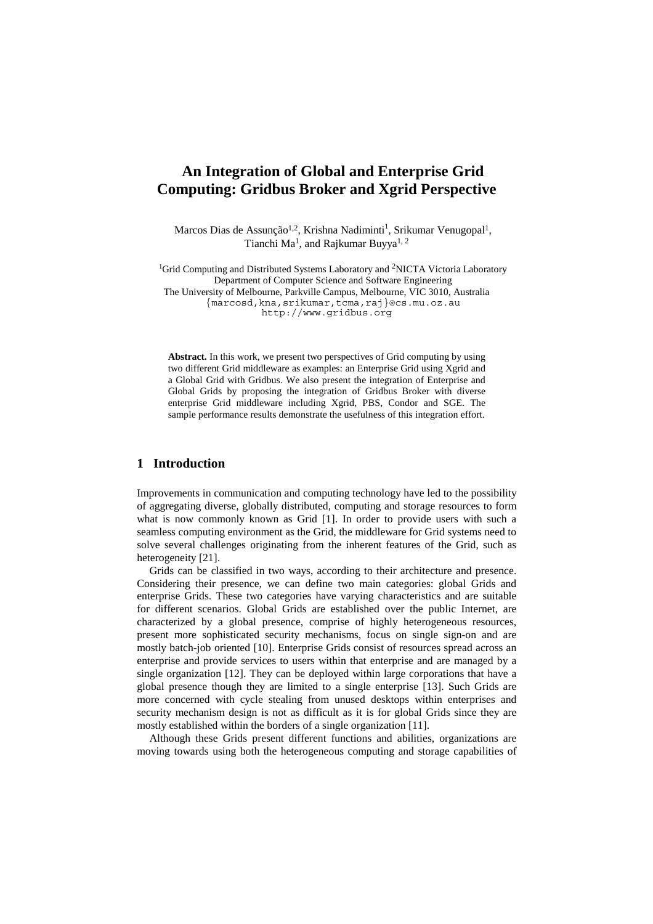# **An Integration of Global and Enterprise Grid Computing: Gridbus Broker and Xgrid Perspective**

Marcos Dias de Assunção<sup>1,2</sup>, Krishna Nadiminti<sup>1</sup>, Srikumar Venugopal<sup>1</sup>, Tianchi Ma<sup>1</sup>, and Rajkumar Buyya<sup>1, 2</sup>

<sup>1</sup>Grid Computing and Distributed Systems Laboratory and <sup>2</sup>NICTA Victoria Laboratory Department of Computer Science and Software Engineering The University of Melbourne, Parkville Campus, Melbourne, VIC 3010, Australia

{marcosd,kna,srikumar,tcma,raj}@cs.mu.oz.au http://www.gridbus.org

**Abstract.** In this work, we present two perspectives of Grid computing by using two different Grid middleware as examples: an Enterprise Grid using Xgrid and a Global Grid with Gridbus. We also present the integration of Enterprise and Global Grids by proposing the integration of Gridbus Broker with diverse enterprise Grid middleware including Xgrid, PBS, Condor and SGE. The sample performance results demonstrate the usefulness of this integration effort.

# **1 Introduction**

Improvements in communication and computing technology have led to the possibility of aggregating diverse, globally distributed, computing and storage resources to form what is now commonly known as Grid [1]. In order to provide users with such a seamless computing environment as the Grid, the middleware for Grid systems need to solve several challenges originating from the inherent features of the Grid, such as heterogeneity [21].

Grids can be classified in two ways, according to their architecture and presence. Considering their presence, we can define two main categories: global Grids and enterprise Grids. These two categories have varying characteristics and are suitable for different scenarios. Global Grids are established over the public Internet, are characterized by a global presence, comprise of highly heterogeneous resources, present more sophisticated security mechanisms, focus on single sign-on and are mostly batch-job oriented [10]. Enterprise Grids consist of resources spread across an enterprise and provide services to users within that enterprise and are managed by a single organization [12]. They can be deployed within large corporations that have a global presence though they are limited to a single enterprise [13]. Such Grids are more concerned with cycle stealing from unused desktops within enterprises and security mechanism design is not as difficult as it is for global Grids since they are mostly established within the borders of a single organization [11].

Although these Grids present different functions and abilities, organizations are moving towards using both the heterogeneous computing and storage capabilities of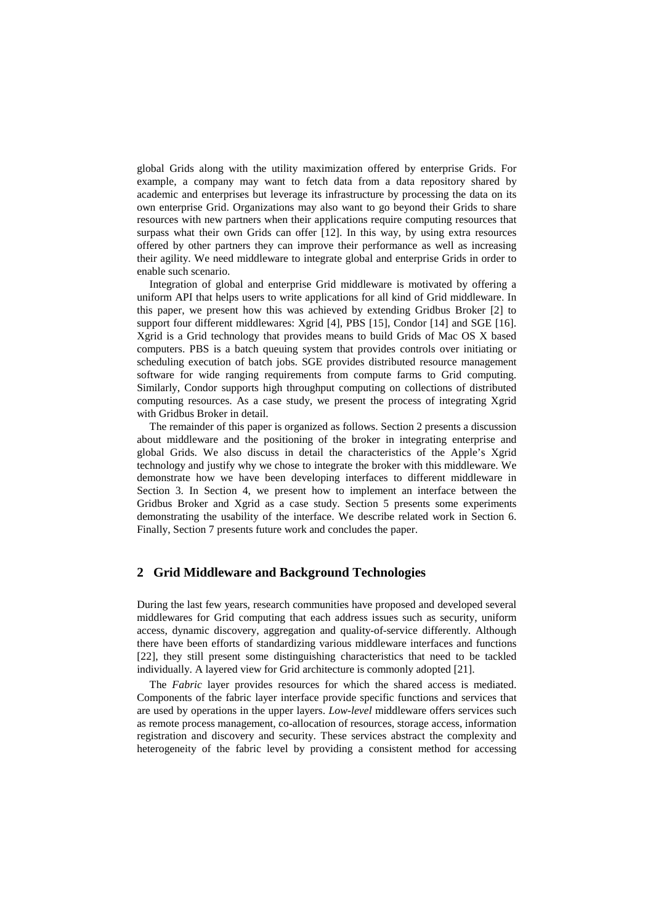global Grids along with the utility maximization offered by enterprise Grids. For example, a company may want to fetch data from a data repository shared by academic and enterprises but leverage its infrastructure by processing the data on its own enterprise Grid. Organizations may also want to go beyond their Grids to share resources with new partners when their applications require computing resources that surpass what their own Grids can offer [12]. In this way, by using extra resources offered by other partners they can improve their performance as well as increasing their agility. We need middleware to integrate global and enterprise Grids in order to enable such scenario.

Integration of global and enterprise Grid middleware is motivated by offering a uniform API that helps users to write applications for all kind of Grid middleware. In this paper, we present how this was achieved by extending Gridbus Broker [2] to support four different middlewares: Xgrid [4], PBS [15], Condor [14] and SGE [16]. Xgrid is a Grid technology that provides means to build Grids of Mac OS X based computers. PBS is a batch queuing system that provides controls over initiating or scheduling execution of batch jobs. SGE provides distributed resource management software for wide ranging requirements from compute farms to Grid computing. Similarly, Condor supports high throughput computing on collections of distributed computing resources. As a case study, we present the process of integrating Xgrid with Gridbus Broker in detail.

The remainder of this paper is organized as follows. Section 2 presents a discussion about middleware and the positioning of the broker in integrating enterprise and global Grids. We also discuss in detail the characteristics of the Apple's Xgrid technology and justify why we chose to integrate the broker with this middleware. We demonstrate how we have been developing interfaces to different middleware in Section 3. In Section 4, we present how to implement an interface between the Gridbus Broker and Xgrid as a case study. Section 5 presents some experiments demonstrating the usability of the interface. We describe related work in Section 6. Finally, Section 7 presents future work and concludes the paper.

### **2 Grid Middleware and Background Technologies**

During the last few years, research communities have proposed and developed several middlewares for Grid computing that each address issues such as security, uniform access, dynamic discovery, aggregation and quality-of-service differently. Although there have been efforts of standardizing various middleware interfaces and functions [22], they still present some distinguishing characteristics that need to be tackled individually. A layered view for Grid architecture is commonly adopted [21].

The *Fabric* layer provides resources for which the shared access is mediated. Components of the fabric layer interface provide specific functions and services that are used by operations in the upper layers. *Low-level* middleware offers services such as remote process management, co-allocation of resources, storage access, information registration and discovery and security. These services abstract the complexity and heterogeneity of the fabric level by providing a consistent method for accessing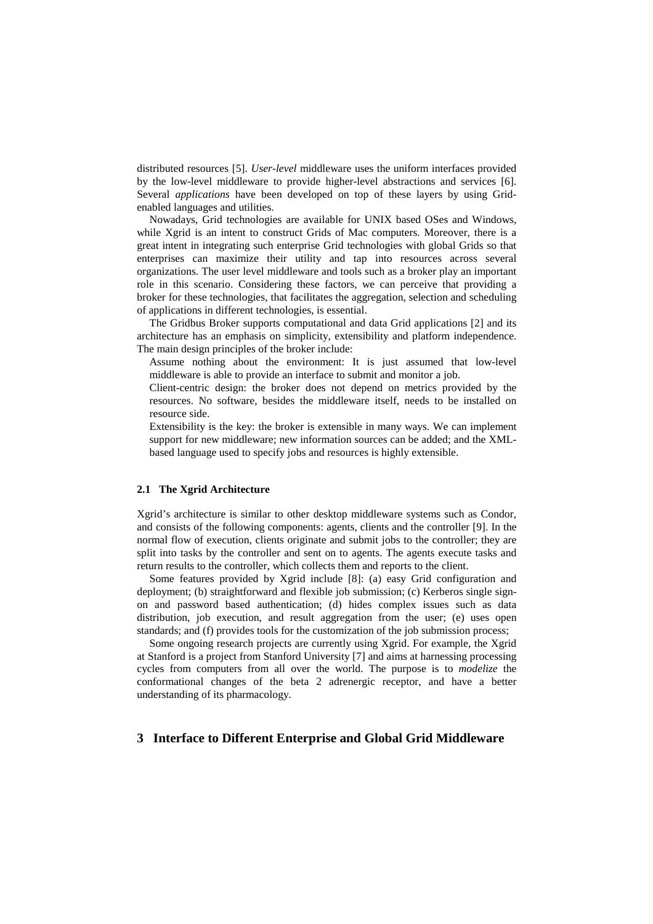distributed resources [5]. *User-level* middleware uses the uniform interfaces provided by the low-level middleware to provide higher-level abstractions and services [6]. Several *applications* have been developed on top of these layers by using Gridenabled languages and utilities.

Nowadays, Grid technologies are available for UNIX based OSes and Windows, while Xgrid is an intent to construct Grids of Mac computers. Moreover, there is a great intent in integrating such enterprise Grid technologies with global Grids so that enterprises can maximize their utility and tap into resources across several organizations. The user level middleware and tools such as a broker play an important role in this scenario. Considering these factors, we can perceive that providing a broker for these technologies, that facilitates the aggregation, selection and scheduling of applications in different technologies, is essential.

The Gridbus Broker supports computational and data Grid applications [2] and its architecture has an emphasis on simplicity, extensibility and platform independence. The main design principles of the broker include:

 Assume nothing about the environment: It is just assumed that low-level middleware is able to provide an interface to submit and monitor a job.

 Client-centric design: the broker does not depend on metrics provided by the resources. No software, besides the middleware itself, needs to be installed on resource side.

 Extensibility is the key: the broker is extensible in many ways. We can implement support for new middleware; new information sources can be added; and the XMLbased language used to specify jobs and resources is highly extensible.

#### **2.1 The Xgrid Architecture**

Xgrid's architecture is similar to other desktop middleware systems such as Condor, and consists of the following components: agents, clients and the controller [9]. In the normal flow of execution, clients originate and submit jobs to the controller; they are split into tasks by the controller and sent on to agents. The agents execute tasks and return results to the controller, which collects them and reports to the client.

Some features provided by Xgrid include [8]: (a) easy Grid configuration and deployment; (b) straightforward and flexible job submission; (c) Kerberos single signon and password based authentication; (d) hides complex issues such as data distribution, job execution, and result aggregation from the user; (e) uses open standards; and (f) provides tools for the customization of the job submission process;

Some ongoing research projects are currently using Xgrid. For example, the Xgrid at Stanford is a project from Stanford University [7] and aims at harnessing processing cycles from computers from all over the world. The purpose is to *modelize* the conformational changes of the beta 2 adrenergic receptor, and have a better understanding of its pharmacology.

# **3 Interface to Different Enterprise and Global Grid Middleware**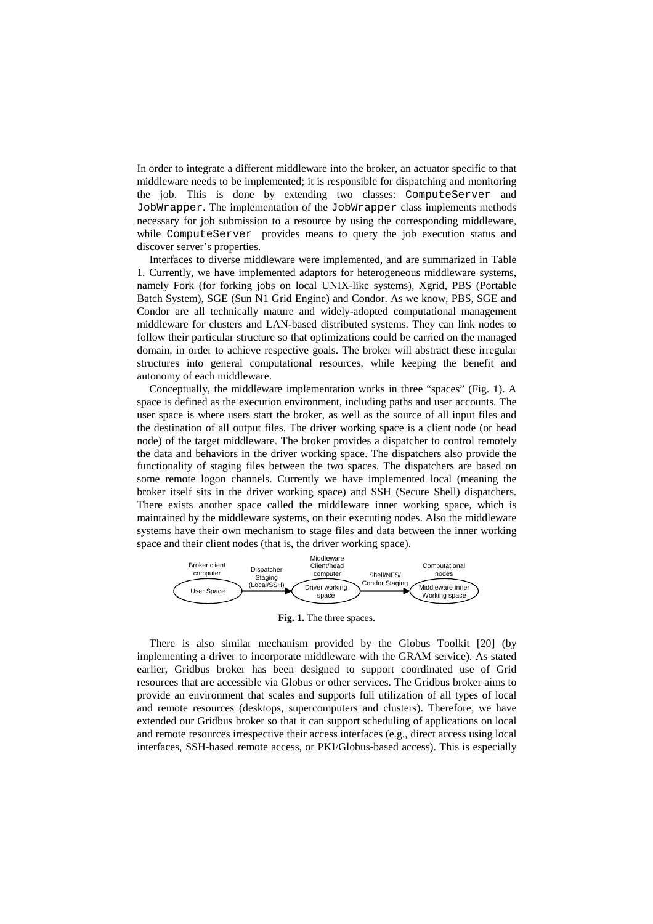In order to integrate a different middleware into the broker, an actuator specific to that middleware needs to be implemented; it is responsible for dispatching and monitoring the job. This is done by extending two classes: ComputeServer and JobWrapper. The implementation of the JobWrapper class implements methods necessary for job submission to a resource by using the corresponding middleware, while ComputeServer provides means to query the job execution status and discover server's properties.

Interfaces to diverse middleware were implemented, and are summarized in Table 1. Currently, we have implemented adaptors for heterogeneous middleware systems, namely Fork (for forking jobs on local UNIX-like systems), Xgrid, PBS (Portable Batch System), SGE (Sun N1 Grid Engine) and Condor. As we know, PBS, SGE and Condor are all technically mature and widely-adopted computational management middleware for clusters and LAN-based distributed systems. They can link nodes to follow their particular structure so that optimizations could be carried on the managed domain, in order to achieve respective goals. The broker will abstract these irregular structures into general computational resources, while keeping the benefit and autonomy of each middleware.

Conceptually, the middleware implementation works in three "spaces" (Fig. 1). A space is defined as the execution environment, including paths and user accounts. The user space is where users start the broker, as well as the source of all input files and the destination of all output files. The driver working space is a client node (or head node) of the target middleware. The broker provides a dispatcher to control remotely the data and behaviors in the driver working space. The dispatchers also provide the functionality of staging files between the two spaces. The dispatchers are based on some remote logon channels. Currently we have implemented local (meaning the broker itself sits in the driver working space) and SSH (Secure Shell) dispatchers. There exists another space called the middleware inner working space, which is maintained by the middleware systems, on their executing nodes. Also the middleware systems have their own mechanism to stage files and data between the inner working space and their client nodes (that is, the driver working space).



Fig. 1. The three spaces.

There is also similar mechanism provided by the Globus Toolkit [20] (by implementing a driver to incorporate middleware with the GRAM service). As stated earlier, Gridbus broker has been designed to support coordinated use of Grid resources that are accessible via Globus or other services. The Gridbus broker aims to provide an environment that scales and supports full utilization of all types of local and remote resources (desktops, supercomputers and clusters). Therefore, we have extended our Gridbus broker so that it can support scheduling of applications on local and remote resources irrespective their access interfaces (e.g., direct access using local interfaces, SSH-based remote access, or PKI/Globus-based access). This is especially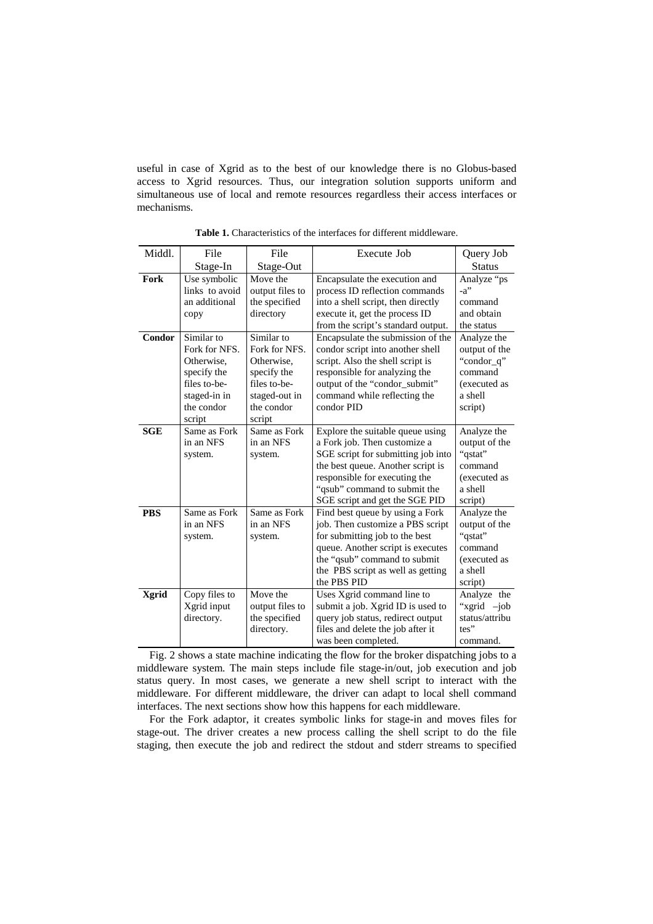useful in case of Xgrid as to the best of our knowledge there is no Globus-based access to Xgrid resources. Thus, our integration solution supports uniform and simultaneous use of local and remote resources regardless their access interfaces or mechanisms.

| Middl.         | File                                                                                                                | File                                                                                                                  | Execute Job                                                                                                                                                                                                                                                                                                                 | Query Job                                                                                                             |
|----------------|---------------------------------------------------------------------------------------------------------------------|-----------------------------------------------------------------------------------------------------------------------|-----------------------------------------------------------------------------------------------------------------------------------------------------------------------------------------------------------------------------------------------------------------------------------------------------------------------------|-----------------------------------------------------------------------------------------------------------------------|
|                | Stage-In                                                                                                            | Stage-Out                                                                                                             |                                                                                                                                                                                                                                                                                                                             | <b>Status</b>                                                                                                         |
| Fork<br>Condor | Use symbolic<br>links to avoid<br>an additional<br>copy<br>Similar to<br>Fork for NFS.<br>Otherwise,<br>specify the | Move the<br>output files to<br>the specified<br>directory<br>Similar to<br>Fork for NFS.<br>Otherwise,<br>specify the | Encapsulate the execution and<br>process ID reflection commands<br>into a shell script, then directly<br>execute it, get the process ID<br>from the script's standard output.<br>Encapsulate the submission of the<br>condor script into another shell<br>script. Also the shell script is<br>responsible for analyzing the | Analyze "ps<br>$-a$ "<br>command<br>and obtain<br>the status<br>Analyze the<br>output of the<br>"condor_q"<br>command |
|                | files to-be-<br>staged-in in<br>the condor<br>script                                                                | files to-be-<br>staged-out in<br>the condor<br>script                                                                 | output of the "condor_submit"<br>command while reflecting the<br>condor PID                                                                                                                                                                                                                                                 | (executed as<br>a shell<br>script)                                                                                    |
| <b>SGE</b>     | Same as Fork<br>in an NFS<br>system.                                                                                | Same as Fork<br>in an NFS<br>system.                                                                                  | Explore the suitable queue using<br>a Fork job. Then customize a<br>SGE script for submitting job into<br>the best queue. Another script is<br>responsible for executing the<br>"qsub" command to submit the<br>SGE script and get the SGE PID                                                                              | Analyze the<br>output of the<br>"qstat"<br>command<br>(executed as<br>a shell<br>script)                              |
| <b>PBS</b>     | Same as Fork<br>in an NFS<br>system.                                                                                | Same as Fork<br>in an NFS<br>system.                                                                                  | Find best queue by using a Fork<br>job. Then customize a PBS script<br>for submitting job to the best<br>queue. Another script is executes<br>the "qsub" command to submit<br>the PBS script as well as getting<br>the PBS PID                                                                                              | Analyze the<br>output of the<br>"qstat"<br>command<br>(executed as<br>a shell<br>script)                              |
| <b>Xgrid</b>   | Copy files to<br>Xgrid input<br>directory.                                                                          | Move the<br>output files to<br>the specified<br>directory.                                                            | Uses Xgrid command line to<br>submit a job. Xgrid ID is used to<br>query job status, redirect output<br>files and delete the job after it<br>was been completed.                                                                                                                                                            | Analyze the<br>"xgrid -job<br>status/attribu<br>tes"<br>command.                                                      |

Table 1. Characteristics of the interfaces for different middleware.

Fig. 2 shows a state machine indicating the flow for the broker dispatching jobs to a middleware system. The main steps include file stage-in/out, job execution and job status query. In most cases, we generate a new shell script to interact with the middleware. For different middleware, the driver can adapt to local shell command interfaces. The next sections show how this happens for each middleware.

For the Fork adaptor, it creates symbolic links for stage-in and moves files for stage-out. The driver creates a new process calling the shell script to do the file staging, then execute the job and redirect the stdout and stderr streams to specified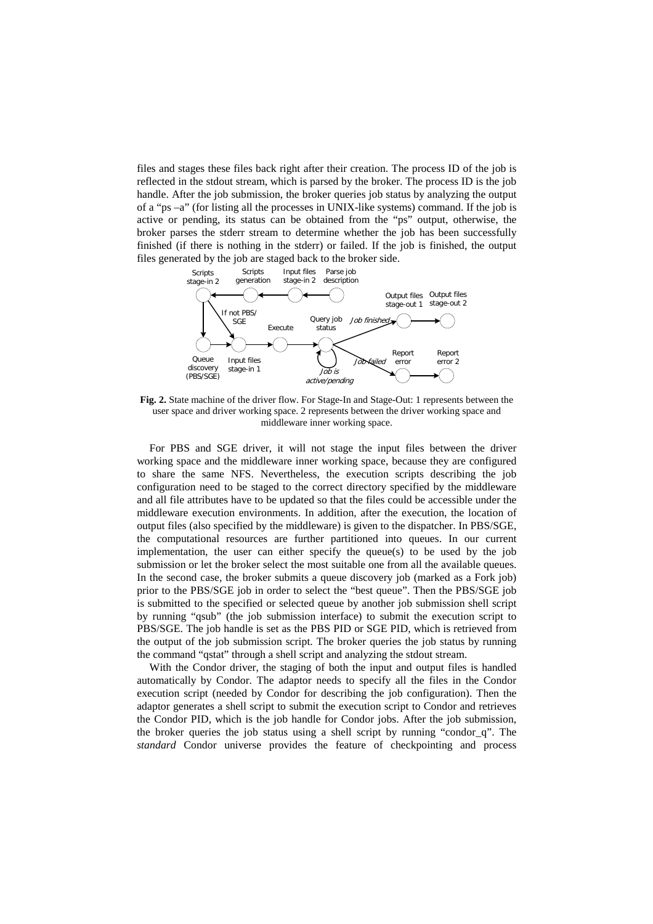files and stages these files back right after their creation. The process ID of the job is reflected in the stdout stream, which is parsed by the broker. The process ID is the job handle. After the job submission, the broker queries job status by analyzing the output of a "ps –a" (for listing all the processes in UNIX-like systems) command. If the job is active or pending, its status can be obtained from the "ps" output, otherwise, the broker parses the stderr stream to determine whether the job has been successfully finished (if there is nothing in the stderr) or failed. If the job is finished, the output files generated by the job are staged back to the broker side.



**Fig. 2.** State machine of the driver flow. For Stage-In and Stage-Out: 1 represents between the user space and driver working space. 2 represents between the driver working space and middleware inner working space.

For PBS and SGE driver, it will not stage the input files between the driver working space and the middleware inner working space, because they are configured to share the same NFS. Nevertheless, the execution scripts describing the job configuration need to be staged to the correct directory specified by the middleware and all file attributes have to be updated so that the files could be accessible under the middleware execution environments. In addition, after the execution, the location of output files (also specified by the middleware) is given to the dispatcher. In PBS/SGE, the computational resources are further partitioned into queues. In our current implementation, the user can either specify the queue(s) to be used by the job submission or let the broker select the most suitable one from all the available queues. In the second case, the broker submits a queue discovery job (marked as a Fork job) prior to the PBS/SGE job in order to select the "best queue". Then the PBS/SGE job is submitted to the specified or selected queue by another job submission shell script by running "qsub" (the job submission interface) to submit the execution script to PBS/SGE. The job handle is set as the PBS PID or SGE PID, which is retrieved from the output of the job submission script. The broker queries the job status by running the command "qstat" through a shell script and analyzing the stdout stream.

With the Condor driver, the staging of both the input and output files is handled automatically by Condor. The adaptor needs to specify all the files in the Condor execution script (needed by Condor for describing the job configuration). Then the adaptor generates a shell script to submit the execution script to Condor and retrieves the Condor PID, which is the job handle for Condor jobs. After the job submission, the broker queries the job status using a shell script by running "condor\_q". The *standard* Condor universe provides the feature of checkpointing and process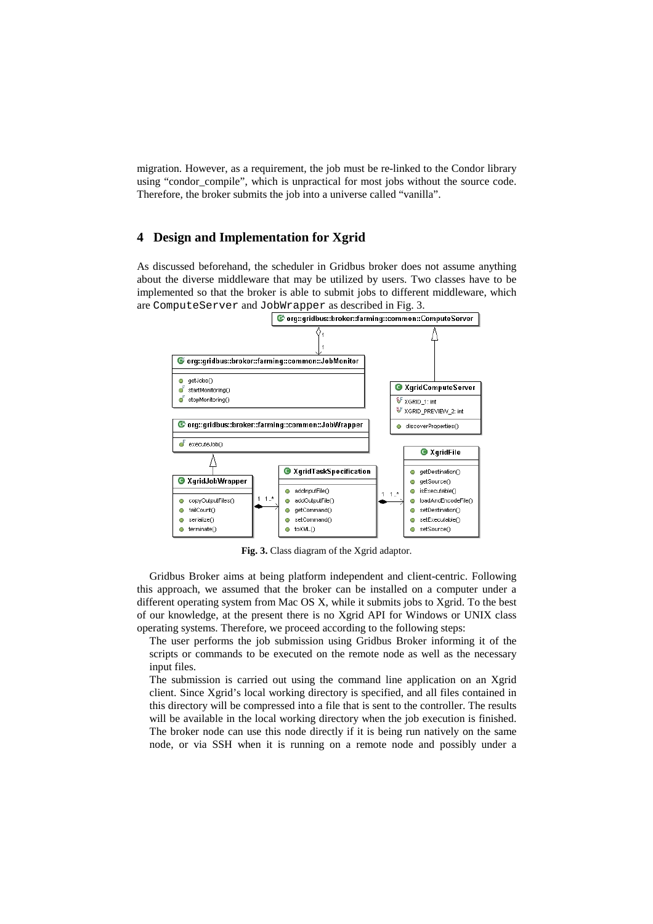migration. However, as a requirement, the job must be re-linked to the Condor library using "condor compile", which is unpractical for most jobs without the source code. Therefore, the broker submits the job into a universe called "vanilla".

# **4 Design and Implementation for Xgrid**

As discussed beforehand, the scheduler in Gridbus broker does not assume anything about the diverse middleware that may be utilized by users. Two classes have to be implemented so that the broker is able to submit jobs to different middleware, which are ComputeServer and JobWrapper as described in Fig. 3.



**Fig. 3.** Class diagram of the Xgrid adaptor.

Gridbus Broker aims at being platform independent and client-centric. Following this approach, we assumed that the broker can be installed on a computer under a different operating system from Mac OS X, while it submits jobs to Xgrid. To the best of our knowledge, at the present there is no Xgrid API for Windows or UNIX class operating systems. Therefore, we proceed according to the following steps:

 The user performs the job submission using Gridbus Broker informing it of the scripts or commands to be executed on the remote node as well as the necessary input files.

 The submission is carried out using the command line application on an Xgrid client. Since Xgrid's local working directory is specified, and all files contained in this directory will be compressed into a file that is sent to the controller. The results will be available in the local working directory when the job execution is finished. The broker node can use this node directly if it is being run natively on the same node, or via SSH when it is running on a remote node and possibly under a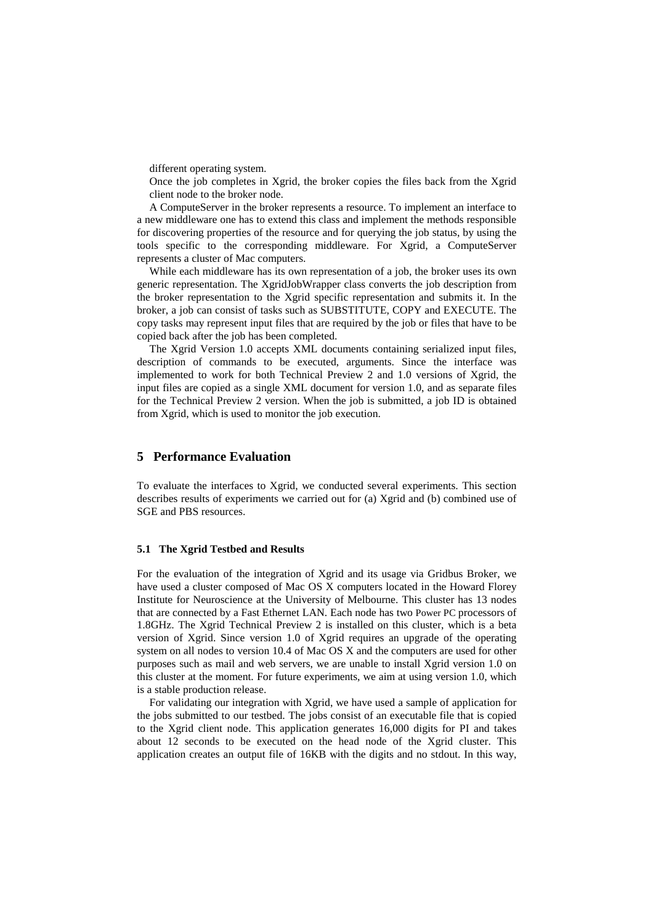different operating system.

 Once the job completes in Xgrid, the broker copies the files back from the Xgrid client node to the broker node.

A ComputeServer in the broker represents a resource. To implement an interface to a new middleware one has to extend this class and implement the methods responsible for discovering properties of the resource and for querying the job status, by using the tools specific to the corresponding middleware. For Xgrid, a ComputeServer represents a cluster of Mac computers.

While each middleware has its own representation of a job, the broker uses its own generic representation. The XgridJobWrapper class converts the job description from the broker representation to the Xgrid specific representation and submits it. In the broker, a job can consist of tasks such as SUBSTITUTE, COPY and EXECUTE. The copy tasks may represent input files that are required by the job or files that have to be copied back after the job has been completed.

The Xgrid Version 1.0 accepts XML documents containing serialized input files, description of commands to be executed, arguments. Since the interface was implemented to work for both Technical Preview 2 and 1.0 versions of Xgrid, the input files are copied as a single XML document for version 1.0, and as separate files for the Technical Preview 2 version. When the job is submitted, a job ID is obtained from Xgrid, which is used to monitor the job execution.

## **5 Performance Evaluation**

To evaluate the interfaces to Xgrid, we conducted several experiments. This section describes results of experiments we carried out for (a) Xgrid and (b) combined use of SGE and PBS resources.

#### **5.1 The Xgrid Testbed and Results**

For the evaluation of the integration of Xgrid and its usage via Gridbus Broker, we have used a cluster composed of Mac OS X computers located in the Howard Florey Institute for Neuroscience at the University of Melbourne. This cluster has 13 nodes that are connected by a Fast Ethernet LAN. Each node has two Power PC processors of 1.8GHz. The Xgrid Technical Preview 2 is installed on this cluster, which is a beta version of Xgrid. Since version 1.0 of Xgrid requires an upgrade of the operating system on all nodes to version 10.4 of Mac OS X and the computers are used for other purposes such as mail and web servers, we are unable to install Xgrid version 1.0 on this cluster at the moment. For future experiments, we aim at using version 1.0, which is a stable production release.

For validating our integration with Xgrid, we have used a sample of application for the jobs submitted to our testbed. The jobs consist of an executable file that is copied to the Xgrid client node. This application generates 16,000 digits for PI and takes about 12 seconds to be executed on the head node of the Xgrid cluster. This application creates an output file of 16KB with the digits and no stdout. In this way,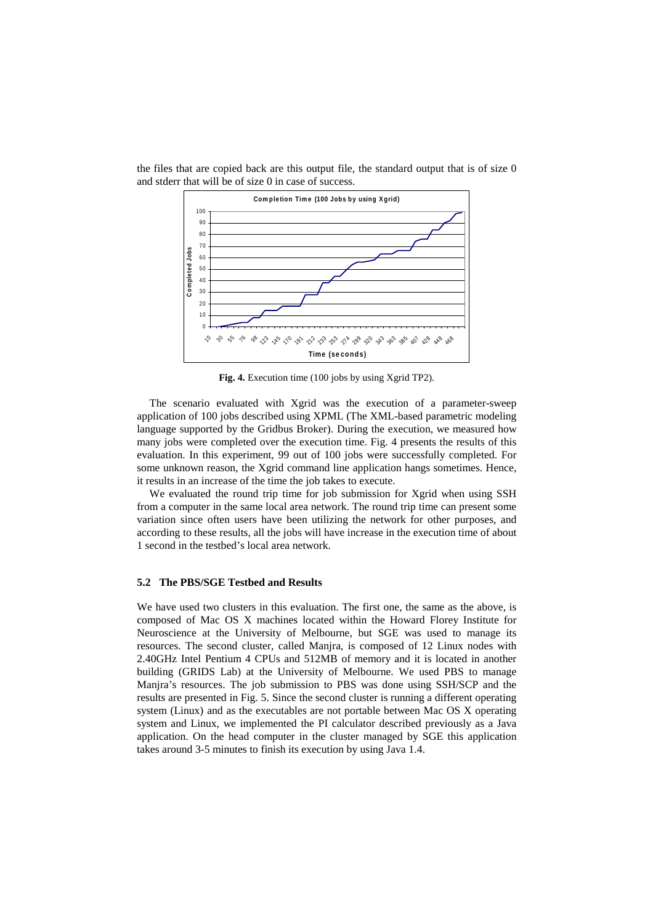

the files that are copied back are this output file, the standard output that is of size 0 and stderr that will be of size 0 in case of success.

Fig. 4. Execution time (100 jobs by using Xgrid TP2).

The scenario evaluated with Xgrid was the execution of a parameter-sweep application of 100 jobs described using XPML (The XML-based parametric modeling language supported by the Gridbus Broker). During the execution, we measured how many jobs were completed over the execution time. Fig. 4 presents the results of this evaluation. In this experiment, 99 out of 100 jobs were successfully completed. For some unknown reason, the Xgrid command line application hangs sometimes. Hence, it results in an increase of the time the job takes to execute.

We evaluated the round trip time for job submission for Xgrid when using SSH from a computer in the same local area network. The round trip time can present some variation since often users have been utilizing the network for other purposes, and according to these results, all the jobs will have increase in the execution time of about 1 second in the testbed's local area network.

#### **5.2 The PBS/SGE Testbed and Results**

We have used two clusters in this evaluation. The first one, the same as the above, is composed of Mac OS X machines located within the Howard Florey Institute for Neuroscience at the University of Melbourne, but SGE was used to manage its resources. The second cluster, called Manjra, is composed of 12 Linux nodes with 2.40GHz Intel Pentium 4 CPUs and 512MB of memory and it is located in another building (GRIDS Lab) at the University of Melbourne. We used PBS to manage Manjra's resources. The job submission to PBS was done using SSH/SCP and the results are presented in Fig. 5. Since the second cluster is running a different operating system (Linux) and as the executables are not portable between Mac OS X operating system and Linux, we implemented the PI calculator described previously as a Java application. On the head computer in the cluster managed by SGE this application takes around 3-5 minutes to finish its execution by using Java 1.4.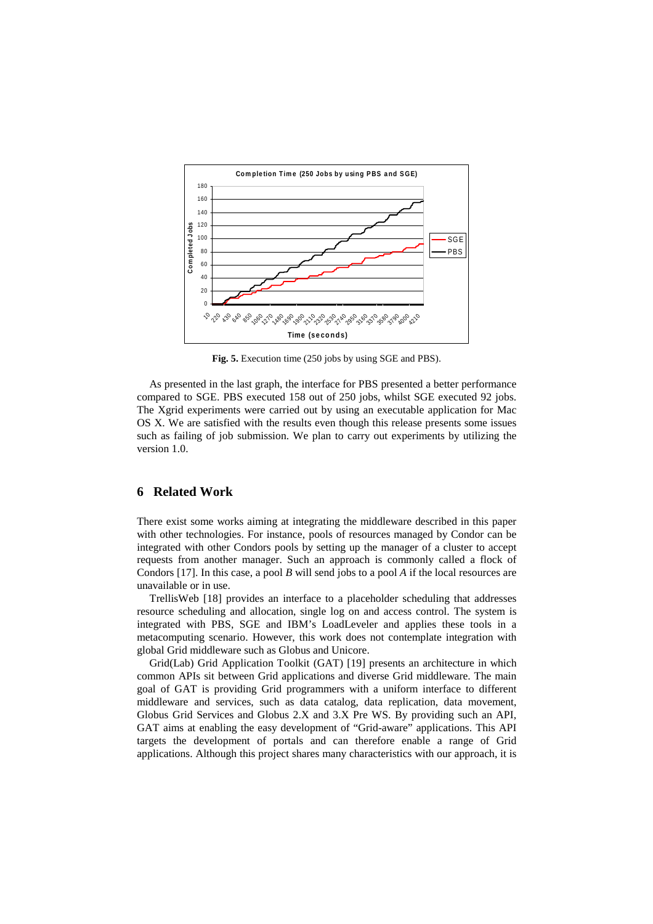

**Fig. 5.** Execution time (250 jobs by using SGE and PBS).

As presented in the last graph, the interface for PBS presented a better performance compared to SGE. PBS executed 158 out of 250 jobs, whilst SGE executed 92 jobs. The Xgrid experiments were carried out by using an executable application for Mac OS X. We are satisfied with the results even though this release presents some issues such as failing of job submission. We plan to carry out experiments by utilizing the version 1.0.

### **6 Related Work**

There exist some works aiming at integrating the middleware described in this paper with other technologies. For instance, pools of resources managed by Condor can be integrated with other Condors pools by setting up the manager of a cluster to accept requests from another manager. Such an approach is commonly called a flock of Condors [17]. In this case, a pool *B* will send jobs to a pool *A* if the local resources are unavailable or in use.

TrellisWeb [18] provides an interface to a placeholder scheduling that addresses resource scheduling and allocation, single log on and access control. The system is integrated with PBS, SGE and IBM's LoadLeveler and applies these tools in a metacomputing scenario. However, this work does not contemplate integration with global Grid middleware such as Globus and Unicore.

Grid(Lab) Grid Application Toolkit (GAT) [19] presents an architecture in which common APIs sit between Grid applications and diverse Grid middleware. The main goal of GAT is providing Grid programmers with a uniform interface to different middleware and services, such as data catalog, data replication, data movement, Globus Grid Services and Globus 2.X and 3.X Pre WS. By providing such an API, GAT aims at enabling the easy development of "Grid-aware" applications. This API targets the development of portals and can therefore enable a range of Grid applications. Although this project shares many characteristics with our approach, it is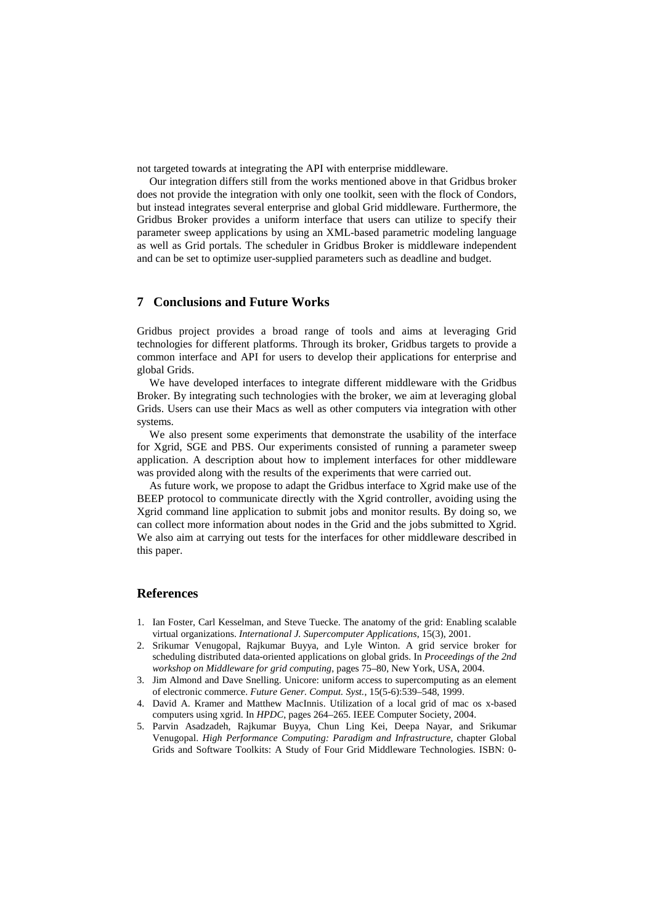not targeted towards at integrating the API with enterprise middleware.

Our integration differs still from the works mentioned above in that Gridbus broker does not provide the integration with only one toolkit, seen with the flock of Condors, but instead integrates several enterprise and global Grid middleware. Furthermore, the Gridbus Broker provides a uniform interface that users can utilize to specify their parameter sweep applications by using an XML-based parametric modeling language as well as Grid portals. The scheduler in Gridbus Broker is middleware independent and can be set to optimize user-supplied parameters such as deadline and budget.

### **7 Conclusions and Future Works**

Gridbus project provides a broad range of tools and aims at leveraging Grid technologies for different platforms. Through its broker, Gridbus targets to provide a common interface and API for users to develop their applications for enterprise and global Grids.

We have developed interfaces to integrate different middleware with the Gridbus Broker. By integrating such technologies with the broker, we aim at leveraging global Grids. Users can use their Macs as well as other computers via integration with other systems.

We also present some experiments that demonstrate the usability of the interface for Xgrid, SGE and PBS. Our experiments consisted of running a parameter sweep application. A description about how to implement interfaces for other middleware was provided along with the results of the experiments that were carried out.

As future work, we propose to adapt the Gridbus interface to Xgrid make use of the BEEP protocol to communicate directly with the Xgrid controller, avoiding using the Xgrid command line application to submit jobs and monitor results. By doing so, we can collect more information about nodes in the Grid and the jobs submitted to Xgrid. We also aim at carrying out tests for the interfaces for other middleware described in this paper.

#### **References**

- 1. Ian Foster, Carl Kesselman, and Steve Tuecke. The anatomy of the grid: Enabling scalable virtual organizations. *International J. Supercomputer Applications*, 15(3), 2001.
- 2. Srikumar Venugopal, Rajkumar Buyya, and Lyle Winton. A grid service broker for scheduling distributed data-oriented applications on global grids. In *Proceedings of the 2nd workshop on Middleware for grid computing*, pages 75–80, New York, USA, 2004.
- 3. Jim Almond and Dave Snelling. Unicore: uniform access to supercomputing as an element of electronic commerce. *Future Gener. Comput. Syst.*, 15(5-6):539–548, 1999.
- 4. David A. Kramer and Matthew MacInnis. Utilization of a local grid of mac os x-based computers using xgrid. In *HPDC*, pages 264–265. IEEE Computer Society, 2004.
- 5. Parvin Asadzadeh, Rajkumar Buyya, Chun Ling Kei, Deepa Nayar, and Srikumar Venugopal. *High Performance Computing: Paradigm and Infrastructure*, chapter Global Grids and Software Toolkits: A Study of Four Grid Middleware Technologies. ISBN: 0-